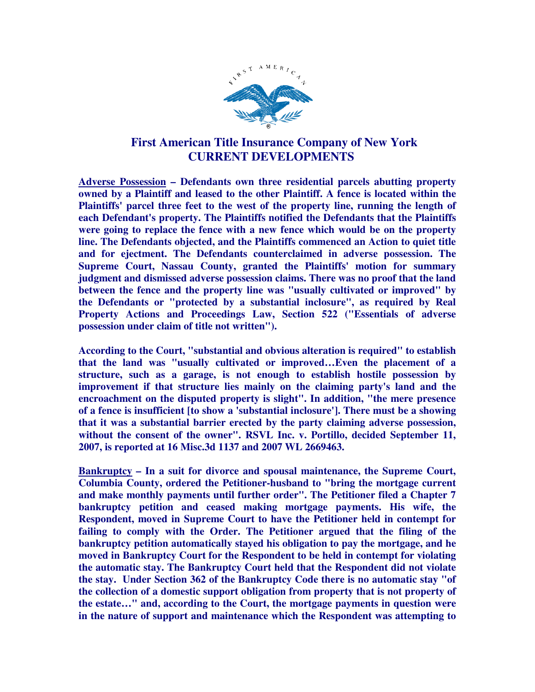

## **First American Title Insurance Company of New York CURRENT DEVELOPMENTS**

**Adverse Possession – Defendants own three residential parcels abutting property owned by a Plaintiff and leased to the other Plaintiff. A fence is located within the Plaintiffs' parcel three feet to the west of the property line, running the length of each Defendant's property. The Plaintiffs notified the Defendants that the Plaintiffs were going to replace the fence with a new fence which would be on the property line. The Defendants objected, and the Plaintiffs commenced an Action to quiet title and for ejectment. The Defendants counterclaimed in adverse possession. The Supreme Court, Nassau County, granted the Plaintiffs' motion for summary judgment and dismissed adverse possession claims. There was no proof that the land between the fence and the property line was "usually cultivated or improved" by the Defendants or "protected by a substantial inclosure", as required by Real Property Actions and Proceedings Law, Section 522 ("Essentials of adverse possession under claim of title not written").** 

**According to the Court, "substantial and obvious alteration is required" to establish that the land was "usually cultivated or improved…Even the placement of a structure, such as a garage, is not enough to establish hostile possession by improvement if that structure lies mainly on the claiming party's land and the encroachment on the disputed property is slight". In addition, "the mere presence of a fence is insufficient [to show a 'substantial inclosure']. There must be a showing that it was a substantial barrier erected by the party claiming adverse possession, without the consent of the owner". RSVL Inc. v. Portillo, decided September 11, 2007, is reported at 16 Misc.3d 1137 and 2007 WL 2669463.** 

**Bankruptcy – In a suit for divorce and spousal maintenance, the Supreme Court, Columbia County, ordered the Petitioner-husband to "bring the mortgage current and make monthly payments until further order". The Petitioner filed a Chapter 7 bankruptcy petition and ceased making mortgage payments. His wife, the Respondent, moved in Supreme Court to have the Petitioner held in contempt for failing to comply with the Order. The Petitioner argued that the filing of the bankruptcy petition automatically stayed his obligation to pay the mortgage, and he moved in Bankruptcy Court for the Respondent to be held in contempt for violating the automatic stay. The Bankruptcy Court held that the Respondent did not violate the stay. Under Section 362 of the Bankruptcy Code there is no automatic stay "of the collection of a domestic support obligation from property that is not property of the estate…" and, according to the Court, the mortgage payments in question were in the nature of support and maintenance which the Respondent was attempting to**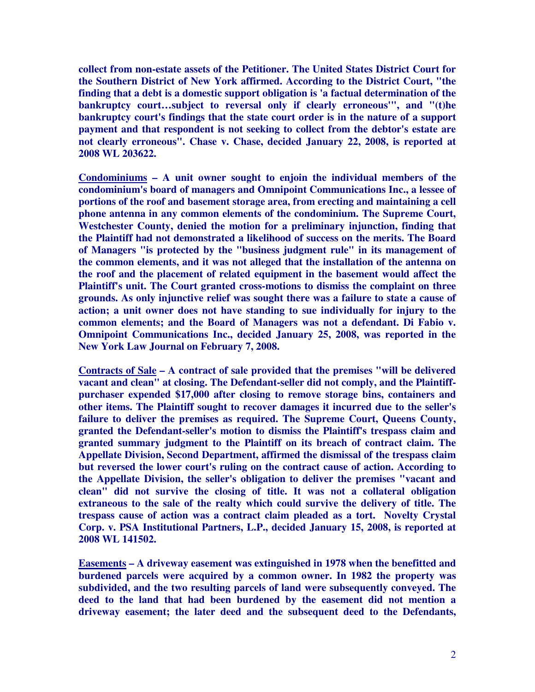**collect from non-estate assets of the Petitioner. The United States District Court for the Southern District of New York affirmed. According to the District Court, "the finding that a debt is a domestic support obligation is 'a factual determination of the bankruptcy court…subject to reversal only if clearly erroneous'", and "(t)he bankruptcy court's findings that the state court order is in the nature of a support payment and that respondent is not seeking to collect from the debtor's estate are not clearly erroneous". Chase v. Chase, decided January 22, 2008, is reported at 2008 WL 203622.** 

**Condominiums – A unit owner sought to enjoin the individual members of the condominium's board of managers and Omnipoint Communications Inc., a lessee of portions of the roof and basement storage area, from erecting and maintaining a cell phone antenna in any common elements of the condominium. The Supreme Court, Westchester County, denied the motion for a preliminary injunction, finding that the Plaintiff had not demonstrated a likelihood of success on the merits. The Board of Managers "is protected by the "business judgment rule" in its management of the common elements, and it was not alleged that the installation of the antenna on the roof and the placement of related equipment in the basement would affect the Plaintiff's unit. The Court granted cross-motions to dismiss the complaint on three grounds. As only injunctive relief was sought there was a failure to state a cause of action; a unit owner does not have standing to sue individually for injury to the common elements; and the Board of Managers was not a defendant. Di Fabio v. Omnipoint Communications Inc., decided January 25, 2008, was reported in the New York Law Journal on February 7, 2008.** 

**Contracts of Sale – A contract of sale provided that the premises "will be delivered vacant and clean" at closing. The Defendant-seller did not comply, and the Plaintiffpurchaser expended \$17,000 after closing to remove storage bins, containers and other items. The Plaintiff sought to recover damages it incurred due to the seller's failure to deliver the premises as required. The Supreme Court, Queens County, granted the Defendant-seller's motion to dismiss the Plaintiff's trespass claim and granted summary judgment to the Plaintiff on its breach of contract claim. The Appellate Division, Second Department, affirmed the dismissal of the trespass claim but reversed the lower court's ruling on the contract cause of action. According to the Appellate Division, the seller's obligation to deliver the premises "vacant and clean" did not survive the closing of title. It was not a collateral obligation extraneous to the sale of the realty which could survive the delivery of title. The trespass cause of action was a contract claim pleaded as a tort. Novelty Crystal Corp. v. PSA Institutional Partners, L.P., decided January 15, 2008, is reported at 2008 WL 141502.** 

**Easements – A driveway easement was extinguished in 1978 when the benefitted and burdened parcels were acquired by a common owner. In 1982 the property was subdivided, and the two resulting parcels of land were subsequently conveyed. The deed to the land that had been burdened by the easement did not mention a driveway easement; the later deed and the subsequent deed to the Defendants,**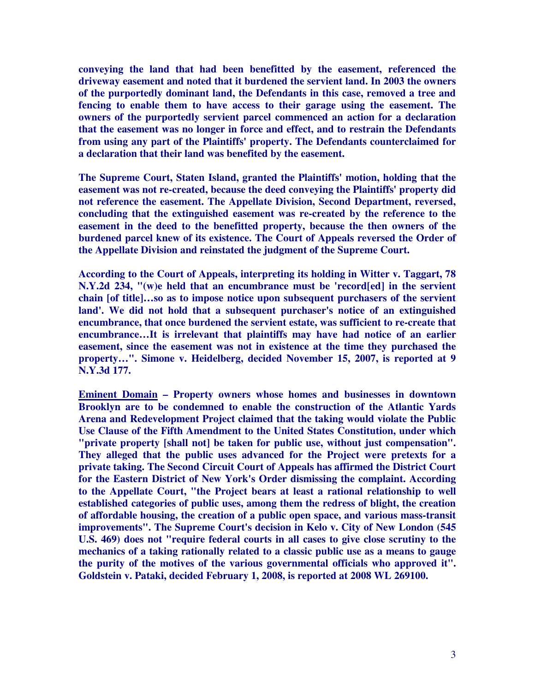**conveying the land that had been benefitted by the easement, referenced the driveway easement and noted that it burdened the servient land. In 2003 the owners of the purportedly dominant land, the Defendants in this case, removed a tree and fencing to enable them to have access to their garage using the easement. The owners of the purportedly servient parcel commenced an action for a declaration that the easement was no longer in force and effect, and to restrain the Defendants from using any part of the Plaintiffs' property. The Defendants counterclaimed for a declaration that their land was benefited by the easement.** 

**The Supreme Court, Staten Island, granted the Plaintiffs' motion, holding that the easement was not re-created, because the deed conveying the Plaintiffs' property did not reference the easement. The Appellate Division, Second Department, reversed, concluding that the extinguished easement was re-created by the reference to the easement in the deed to the benefitted property, because the then owners of the burdened parcel knew of its existence. The Court of Appeals reversed the Order of the Appellate Division and reinstated the judgment of the Supreme Court.** 

**According to the Court of Appeals, interpreting its holding in Witter v. Taggart, 78 N.Y.2d 234, "(w)e held that an encumbrance must be 'record[ed] in the servient chain [of title]…so as to impose notice upon subsequent purchasers of the servient land'. We did not hold that a subsequent purchaser's notice of an extinguished encumbrance, that once burdened the servient estate, was sufficient to re-create that encumbrance…It is irrelevant that plaintiffs may have had notice of an earlier easement, since the easement was not in existence at the time they purchased the property…". Simone v. Heidelberg, decided November 15, 2007, is reported at 9 N.Y.3d 177.** 

**Eminent Domain – Property owners whose homes and businesses in downtown Brooklyn are to be condemned to enable the construction of the Atlantic Yards Arena and Redevelopment Project claimed that the taking would violate the Public Use Clause of the Fifth Amendment to the United States Constitution, under which "private property [shall not] be taken for public use, without just compensation". They alleged that the public uses advanced for the Project were pretexts for a private taking. The Second Circuit Court of Appeals has affirmed the District Court for the Eastern District of New York's Order dismissing the complaint. According to the Appellate Court, "the Project bears at least a rational relationship to well established categories of public uses, among them the redress of blight, the creation of affordable housing, the creation of a public open space, and various mass-transit improvements". The Supreme Court's decision in Kelo v. City of New London (545 U.S. 469) does not "require federal courts in all cases to give close scrutiny to the mechanics of a taking rationally related to a classic public use as a means to gauge the purity of the motives of the various governmental officials who approved it". Goldstein v. Pataki, decided February 1, 2008, is reported at 2008 WL 269100.**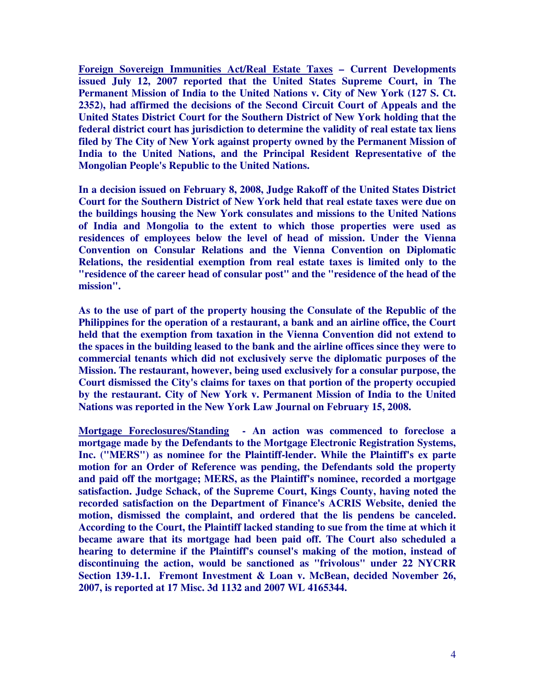**Foreign Sovereign Immunities Act/Real Estate Taxes – Current Developments issued July 12, 2007 reported that the United States Supreme Court, in The Permanent Mission of India to the United Nations v. City of New York (127 S. Ct. 2352), had affirmed the decisions of the Second Circuit Court of Appeals and the United States District Court for the Southern District of New York holding that the federal district court has jurisdiction to determine the validity of real estate tax liens filed by The City of New York against property owned by the Permanent Mission of India to the United Nations, and the Principal Resident Representative of the Mongolian People's Republic to the United Nations.** 

**In a decision issued on February 8, 2008, Judge Rakoff of the United States District Court for the Southern District of New York held that real estate taxes were due on the buildings housing the New York consulates and missions to the United Nations of India and Mongolia to the extent to which those properties were used as residences of employees below the level of head of mission. Under the Vienna Convention on Consular Relations and the Vienna Convention on Diplomatic Relations, the residential exemption from real estate taxes is limited only to the "residence of the career head of consular post" and the "residence of the head of the mission".** 

**As to the use of part of the property housing the Consulate of the Republic of the Philippines for the operation of a restaurant, a bank and an airline office, the Court held that the exemption from taxation in the Vienna Convention did not extend to the spaces in the building leased to the bank and the airline offices since they were to commercial tenants which did not exclusively serve the diplomatic purposes of the Mission. The restaurant, however, being used exclusively for a consular purpose, the Court dismissed the City's claims for taxes on that portion of the property occupied by the restaurant. City of New York v. Permanent Mission of India to the United Nations was reported in the New York Law Journal on February 15, 2008.** 

**Mortgage Foreclosures/Standing - An action was commenced to foreclose a mortgage made by the Defendants to the Mortgage Electronic Registration Systems, Inc. ("MERS") as nominee for the Plaintiff-lender. While the Plaintiff's ex parte motion for an Order of Reference was pending, the Defendants sold the property and paid off the mortgage; MERS, as the Plaintiff's nominee, recorded a mortgage satisfaction. Judge Schack, of the Supreme Court, Kings County, having noted the recorded satisfaction on the Department of Finance's ACRIS Website, denied the motion, dismissed the complaint, and ordered that the lis pendens be canceled. According to the Court, the Plaintiff lacked standing to sue from the time at which it became aware that its mortgage had been paid off. The Court also scheduled a hearing to determine if the Plaintiff's counsel's making of the motion, instead of discontinuing the action, would be sanctioned as "frivolous" under 22 NYCRR Section 139-1.1. Fremont Investment & Loan v. McBean, decided November 26, 2007, is reported at 17 Misc. 3d 1132 and 2007 WL 4165344.**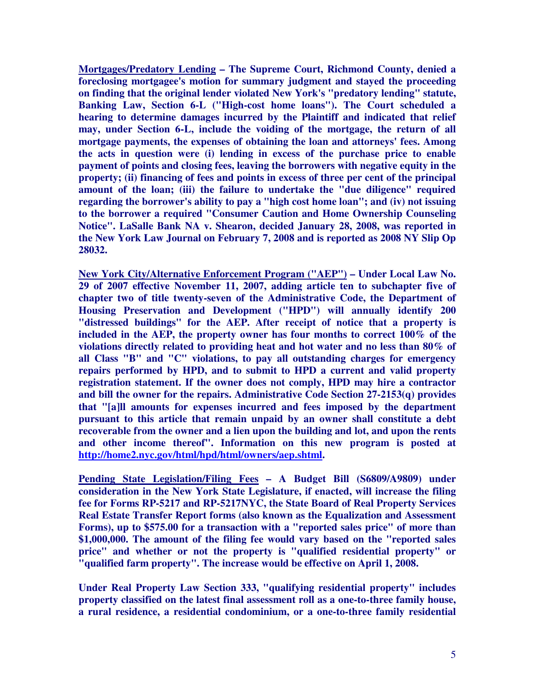**Mortgages/Predatory Lending – The Supreme Court, Richmond County, denied a foreclosing mortgagee's motion for summary judgment and stayed the proceeding on finding that the original lender violated New York's "predatory lending" statute, Banking Law, Section 6-L ("High-cost home loans"). The Court scheduled a hearing to determine damages incurred by the Plaintiff and indicated that relief may, under Section 6-L, include the voiding of the mortgage, the return of all mortgage payments, the expenses of obtaining the loan and attorneys' fees. Among the acts in question were (i) lending in excess of the purchase price to enable payment of points and closing fees, leaving the borrowers with negative equity in the property; (ii) financing of fees and points in excess of three per cent of the principal amount of the loan; (iii) the failure to undertake the "due diligence" required regarding the borrower's ability to pay a "high cost home loan"; and (iv) not issuing to the borrower a required "Consumer Caution and Home Ownership Counseling Notice". LaSalle Bank NA v. Shearon, decided January 28, 2008, was reported in the New York Law Journal on February 7, 2008 and is reported as 2008 NY Slip Op 28032.** 

**New York City/Alternative Enforcement Program ("AEP") – Under Local Law No. 29 of 2007 effective November 11, 2007, adding article ten to subchapter five of chapter two of title twenty-seven of the Administrative Code, the Department of Housing Preservation and Development ("HPD") will annually identify 200 "distressed buildings" for the AEP. After receipt of notice that a property is included in the AEP, the property owner has four months to correct 100% of the violations directly related to providing heat and hot water and no less than 80% of all Class "B" and "C" violations, to pay all outstanding charges for emergency repairs performed by HPD, and to submit to HPD a current and valid property registration statement. If the owner does not comply, HPD may hire a contractor and bill the owner for the repairs. Administrative Code Section 27-2153(q) provides that "[a]ll amounts for expenses incurred and fees imposed by the department pursuant to this article that remain unpaid by an owner shall constitute a debt recoverable from the owner and a lien upon the building and lot, and upon the rents and other income thereof". Information on this new program is posted at http://home2.nyc.gov/html/hpd/html/owners/aep.shtml.** 

**Pending State Legislation/Filing Fees – A Budget Bill (S6809/A9809) under consideration in the New York State Legislature, if enacted, will increase the filing fee for Forms RP-5217 and RP-5217NYC, the State Board of Real Property Services Real Estate Transfer Report forms (also known as the Equalization and Assessment Forms), up to \$575.00 for a transaction with a "reported sales price" of more than \$1,000,000. The amount of the filing fee would vary based on the "reported sales price" and whether or not the property is "qualified residential property" or "qualified farm property". The increase would be effective on April 1, 2008.** 

**Under Real Property Law Section 333, "qualifying residential property" includes property classified on the latest final assessment roll as a one-to-three family house, a rural residence, a residential condominium, or a one-to-three family residential**